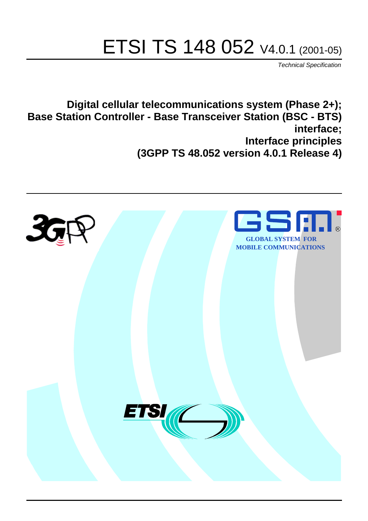# ETSI TS 148 052 V4.0.1 (2001-05)

Technical Specification

**Digital cellular telecommunications system (Phase 2+); Base Station Controller - Base Transceiver Station (BSC - BTS) interface; Interface principles (3GPP TS 48.052 version 4.0.1 Release 4)**

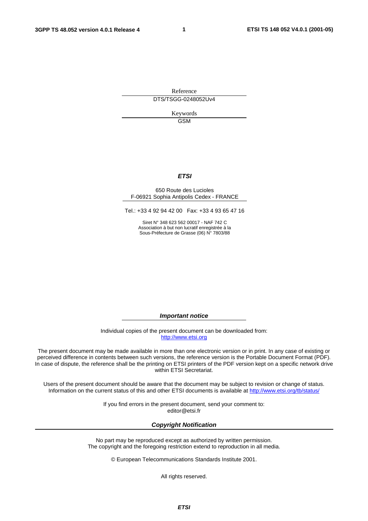**1** 

Reference DTS/TSGG-0248052Uv4

> Keywords GSM

#### **ETSI**

#### 650 Route des Lucioles F-06921 Sophia Antipolis Cedex - FRANCE

Tel.: +33 4 92 94 42 00 Fax: +33 4 93 65 47 16

Siret N° 348 623 562 00017 - NAF 742 C Association à but non lucratif enregistrée à la Sous-Préfecture de Grasse (06) N° 7803/88

**Important notice** 

Individual copies of the present document can be downloaded from: [http://www.etsi.org](http://www.etsi.org/)

The present document may be made available in more than one electronic version or in print. In any case of existing or perceived difference in contents between such versions, the reference version is the Portable Document Format (PDF). In case of dispute, the reference shall be the printing on ETSI printers of the PDF version kept on a specific network drive within ETSI Secretariat.

Users of the present document should be aware that the document may be subject to revision or change of status. Information on the current status of this and other ETSI documents is available at [http://www.etsi.org/tb/status/](http://www.etsi.org/tb/status)

> If you find errors in the present document, send your comment to: <editor@etsi.fr>

#### **Copyright Notification**

No part may be reproduced except as authorized by written permission. The copyright and the foregoing restriction extend to reproduction in all media.

© European Telecommunications Standards Institute 2001.

All rights reserved.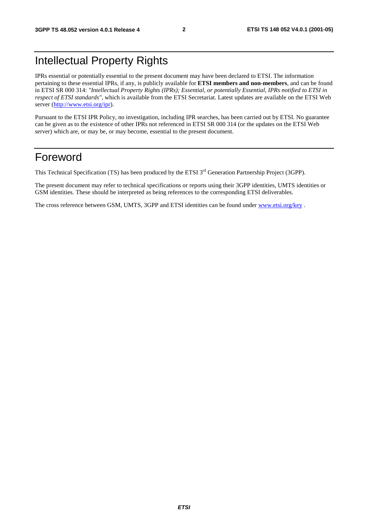# Intellectual Property Rights

IPRs essential or potentially essential to the present document may have been declared to ETSI. The information pertaining to these essential IPRs, if any, is publicly available for **ETSI members and non-members**, and can be found in ETSI SR 000 314: *"Intellectual Property Rights (IPRs); Essential, or potentially Essential, IPRs notified to ETSI in respect of ETSI standards"*, which is available from the ETSI Secretariat. Latest updates are available on the ETSI Web server (<http://www.etsi.org/ipr>).

Pursuant to the ETSI IPR Policy, no investigation, including IPR searches, has been carried out by ETSI. No guarantee can be given as to the existence of other IPRs not referenced in ETSI SR 000 314 (or the updates on the ETSI Web server) which are, or may be, or may become, essential to the present document.

# Foreword

This Technical Specification (TS) has been produced by the ETSI 3<sup>rd</sup> Generation Partnership Project (3GPP).

The present document may refer to technical specifications or reports using their 3GPP identities, UMTS identities or GSM identities. These should be interpreted as being references to the corresponding ETSI deliverables.

The cross reference between GSM, UMTS, 3GPP and ETSI identities can be found under www.etsi.org/key.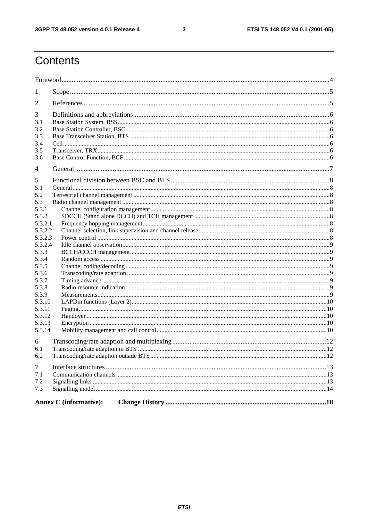$\mathbf{3}$ 

# Contents

| 1                  |                               |  |
|--------------------|-------------------------------|--|
| 2                  |                               |  |
| 3                  |                               |  |
| 3.1                |                               |  |
| 3.2                |                               |  |
| 3.3                |                               |  |
| 3.4                |                               |  |
| 3.5                |                               |  |
| 3.6                |                               |  |
| 4                  |                               |  |
| 5                  |                               |  |
| 5.1                |                               |  |
| 5.2                |                               |  |
| 5.3                |                               |  |
| 5.3.1              |                               |  |
| 5.3.2              |                               |  |
| 5.3.2.1<br>5.3.2.2 |                               |  |
| 5.3.2.3            |                               |  |
| 5.3.2.4            |                               |  |
| 5.3.3              |                               |  |
| 5.3.4              |                               |  |
| 5.3.5              |                               |  |
| 5.3.6              |                               |  |
| 5.3.7              |                               |  |
| 5.3.8              |                               |  |
| 5.3.9              |                               |  |
| 5.3.10             |                               |  |
| 5.3.11             |                               |  |
| 5.3.12             |                               |  |
| 5.3.13             |                               |  |
| 5.3.14             |                               |  |
| 6                  |                               |  |
| 6.1                |                               |  |
| 6.2                |                               |  |
| $\tau$             |                               |  |
| 7.1                |                               |  |
| 7.2                |                               |  |
| 7.3                |                               |  |
|                    | <b>Annex C</b> (informative): |  |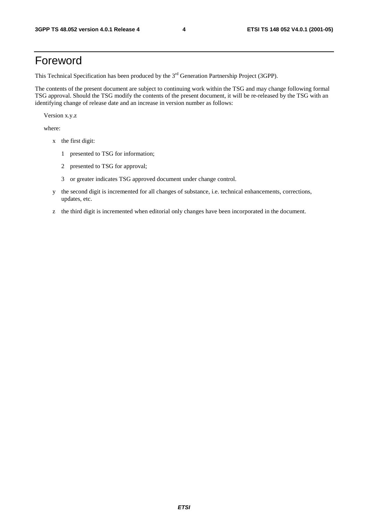# Foreword

This Technical Specification has been produced by the 3<sup>rd</sup> Generation Partnership Project (3GPP).

The contents of the present document are subject to continuing work within the TSG and may change following formal TSG approval. Should the TSG modify the contents of the present document, it will be re-released by the TSG with an identifying change of release date and an increase in version number as follows:

Version x.y.z

where:

- x the first digit:
	- 1 presented to TSG for information;
	- 2 presented to TSG for approval;
	- 3 or greater indicates TSG approved document under change control.
- y the second digit is incremented for all changes of substance, i.e. technical enhancements, corrections, updates, etc.
- z the third digit is incremented when editorial only changes have been incorporated in the document.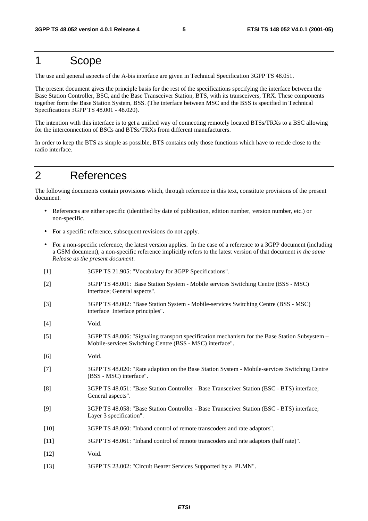# 1 Scope

The use and general aspects of the A-bis interface are given in Technical Specification 3GPP TS 48.051.

The present document gives the principle basis for the rest of the specifications specifying the interface between the Base Station Controller, BSC, and the Base Transceiver Station, BTS, with its transceivers, TRX. These components together form the Base Station System, BSS. (The interface between MSC and the BSS is specified in Technical Specifications 3GPP TS 48.001 - 48.020).

The intention with this interface is to get a unified way of connecting remotely located BTSs/TRXs to a BSC allowing for the interconnection of BSCs and BTSs/TRXs from different manufacturers.

In order to keep the BTS as simple as possible, BTS contains only those functions which have to recide close to the radio interface.

# 2 References

The following documents contain provisions which, through reference in this text, constitute provisions of the present document.

- References are either specific (identified by date of publication, edition number, version number, etc.) or non-specific.
- For a specific reference, subsequent revisions do not apply.
- For a non-specific reference, the latest version applies. In the case of a reference to a 3GPP document (including a GSM document), a non-specific reference implicitly refers to the latest version of that document *in the same Release as the present document*.
- [1] 3GPP TS 21.905: "Vocabulary for 3GPP Specifications".
- [2] 3GPP TS 48.001: Base Station System Mobile services Switching Centre (BSS MSC) interface; General aspects".
- [3] 3GPP TS 48.002: "Base Station System Mobile-services Switching Centre (BSS MSC) interface Interface principles".
- [4] Void.
- [5] 3GPP TS 48.006: "Signaling transport specification mechanism for the Base Station Subsystem Mobile-services Switching Centre (BSS - MSC) interface".
- [6] Void.
- [7] 3GPP TS 48.020: "Rate adaption on the Base Station System Mobile-services Switching Centre (BSS - MSC) interface".
- [8] 3GPP TS 48.051: "Base Station Controller Base Transceiver Station (BSC BTS) interface; General aspects".
- [9] 3GPP TS 48.058: "Base Station Controller Base Transceiver Station (BSC BTS) interface; Layer 3 specification".
- [10] 3GPP TS 48.060: "Inband control of remote transcoders and rate adaptors".
- [11] 3GPP TS 48.061: "Inband control of remote transcoders and rate adaptors (half rate)".
- [12] Void.
- [13] 3GPP TS 23.002: "Circuit Bearer Services Supported by a PLMN".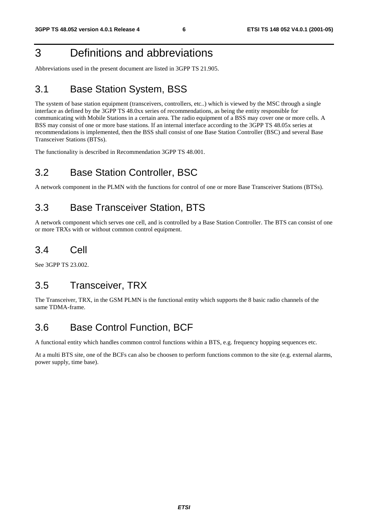# 3 Definitions and abbreviations

Abbreviations used in the present document are listed in 3GPP TS 21.905.

# 3.1 Base Station System, BSS

The system of base station equipment (transceivers, controllers, etc..) which is viewed by the MSC through a single interface as defined by the 3GPP TS 48.0xx series of recommendations, as being the entity responsible for communicating with Mobile Stations in a certain area. The radio equipment of a BSS may cover one or more cells. A BSS may consist of one or more base stations. If an internal interface according to the 3GPP TS 48.05x series at recommendations is implemented, then the BSS shall consist of one Base Station Controller (BSC) and several Base Transceiver Stations (BTSs).

The functionality is described in Recommendation 3GPP TS 48.001.

# 3.2 Base Station Controller, BSC

A network component in the PLMN with the functions for control of one or more Base Transceiver Stations (BTSs).

# 3.3 Base Transceiver Station, BTS

A network component which serves one cell, and is controlled by a Base Station Controller. The BTS can consist of one or more TRXs with or without common control equipment.

# 3.4 Cell

See 3GPP TS 23.002.

# 3.5 Transceiver, TRX

The Transceiver, TRX, in the GSM PLMN is the functional entity which supports the 8 basic radio channels of the same TDMA-frame.

# 3.6 Base Control Function, BCF

A functional entity which handles common control functions within a BTS, e.g. frequency hopping sequences etc.

At a multi BTS site, one of the BCFs can also be choosen to perform functions common to the site (e.g. external alarms, power supply, time base).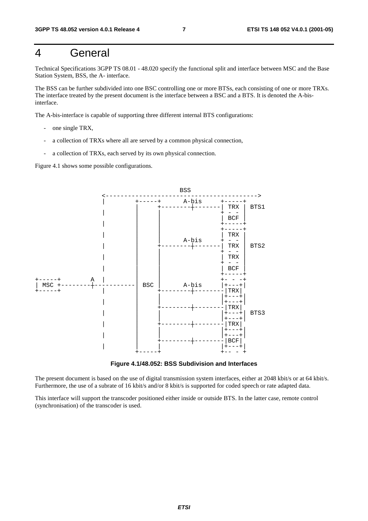# 4 General

Technical Specifications 3GPP TS 08.01 - 48.020 specify the functional split and interface between MSC and the Base Station System, BSS, the A- interface.

The BSS can be further subdivided into one BSC controlling one or more BTSs, each consisting of one or more TRXs. The interface treated by the present document is the interface between a BSC and a BTS. It is denoted the A-bisinterface.

The A-bis-interface is capable of supporting three different internal BTS configurations:

- one single TRX,
- a collection of TRXs where all are served by a common physical connection,
- a collection of TRXs, each served by its own physical connection.

Figure 4.1 shows some possible configurations.



**Figure 4.1/48.052: BSS Subdivision and Interfaces** 

The present document is based on the use of digital transmission system interfaces, either at 2048 kbit/s or at 64 kbit/s. Furthermore, the use of a subrate of 16 kbit/s and/or 8 kbit/s is supported for coded speech or rate adapted data.

This interface will support the transcoder positioned either inside or outside BTS. In the latter case, remote control (synchronisation) of the transcoder is used.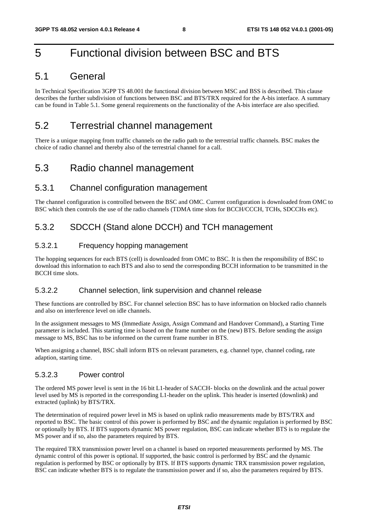# 5 Functional division between BSC and BTS

### 5.1 General

In Technical Specification 3GPP TS 48.001 the functional division between MSC and BSS is described. This clause describes the further subdivision of functions between BSC and BTS/TRX required for the A-bis interface. A summary can be found in Table 5.1. Some general requirements on the functionality of the A-bis interface are also specified.

### 5.2 Terrestrial channel management

There is a unique mapping from traffic channels on the radio path to the terrestrial traffic channels. BSC makes the choice of radio channel and thereby also of the terrestrial channel for a call.

### 5.3 Radio channel management

### 5.3.1 Channel configuration management

The channel configuration is controlled between the BSC and OMC. Current configuration is downloaded from OMC to BSC which then controls the use of the radio channels (TDMA time slots for BCCH/CCCH, TCHs, SDCCHs etc).

### 5.3.2 SDCCH (Stand alone DCCH) and TCH management

#### 5.3.2.1 Frequency hopping management

The hopping sequences for each BTS (cell) is downloaded from OMC to BSC. It is then the responsibility of BSC to download this information to each BTS and also to send the corresponding BCCH information to be transmitted in the BCCH time slots.

#### 5.3.2.2 Channel selection, link supervision and channel release

These functions are controlled by BSC. For channel selection BSC has to have information on blocked radio channels and also on interference level on idle channels.

In the assignment messages to MS (Immediate Assign, Assign Command and Handover Command), a Starting Time parameter is included. This starting time is based on the frame number on the (new) BTS. Before sending the assign message to MS, BSC has to be informed on the current frame number in BTS.

When assigning a channel, BSC shall inform BTS on relevant parameters, e.g. channel type, channel coding, rate adaption, starting time.

#### 5.3.2.3 Power control

The ordered MS power level is sent in the 16 bit L1-header of SACCH- blocks on the downlink and the actual power level used by MS is reported in the corresponding L1-header on the uplink. This header is inserted (downlink) and extracted (uplink) by BTS/TRX.

The determination of required power level in MS is based on uplink radio measurements made by BTS/TRX and reported to BSC. The basic control of this power is performed by BSC and the dynamic regulation is performed by BSC or optionally by BTS. If BTS supports dynamic MS power regulation, BSC can indicate whether BTS is to regulate the MS power and if so, also the parameters required by BTS.

The required TRX transmission power level on a channel is based on reported measurements performed by MS. The dynamic control of this power is optional. If supported, the basic control is performed by BSC and the dynamic regulation is performed by BSC or optionally by BTS. If BTS supports dynamic TRX transmission power regulation, BSC can indicate whether BTS is to regulate the transmission power and if so, also the parameters required by BTS.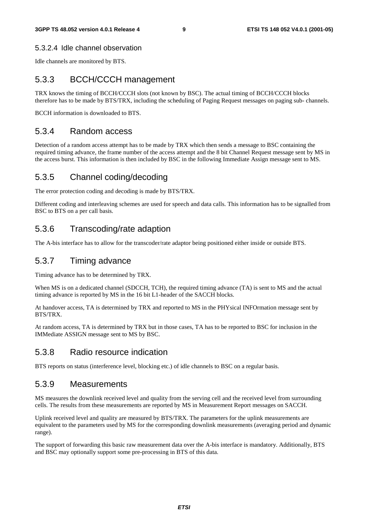#### 5.3.2.4 Idle channel observation

Idle channels are monitored by BTS.

### 5.3.3 BCCH/CCCH management

TRX knows the timing of BCCH/CCCH slots (not known by BSC). The actual timing of BCCH/CCCH blocks therefore has to be made by BTS/TRX, including the scheduling of Paging Request messages on paging sub- channels.

BCCH information is downloaded to BTS.

#### 5.3.4 Random access

Detection of a random access attempt has to be made by TRX which then sends a message to BSC containing the required timing advance, the frame number of the access attempt and the 8 bit Channel Request message sent by MS in the access burst. This information is then included by BSC in the following Immediate Assign message sent to MS.

### 5.3.5 Channel coding/decoding

The error protection coding and decoding is made by BTS/TRX.

Different coding and interleaving schemes are used for speech and data calls. This information has to be signalled from BSC to BTS on a per call basis.

### 5.3.6 Transcoding/rate adaption

The A-bis interface has to allow for the transcoder/rate adaptor being positioned either inside or outside BTS.

#### 5.3.7 Timing advance

Timing advance has to be determined by TRX.

When MS is on a dedicated channel (SDCCH, TCH), the required timing advance (TA) is sent to MS and the actual timing advance is reported by MS in the 16 bit L1-header of the SACCH blocks.

At handover access, TA is determined by TRX and reported to MS in the PHYsical INFOrmation message sent by BTS/TRX.

At random access, TA is determined by TRX but in those cases, TA has to be reported to BSC for inclusion in the IMMediate ASSIGN message sent to MS by BSC.

### 5.3.8 Radio resource indication

BTS reports on status (interference level, blocking etc.) of idle channels to BSC on a regular basis.

#### 5.3.9 Measurements

MS measures the downlink received level and quality from the serving cell and the received level from surrounding cells. The results from these measurements are reported by MS in Measurement Report messages on SACCH.

Uplink received level and quality are measured by BTS/TRX. The parameters for the uplink measurements are equivalent to the parameters used by MS for the corresponding downlink measurements (averaging period and dynamic range).

The support of forwarding this basic raw measurement data over the A-bis interface is mandatory. Additionally, BTS and BSC may optionally support some pre-processing in BTS of this data.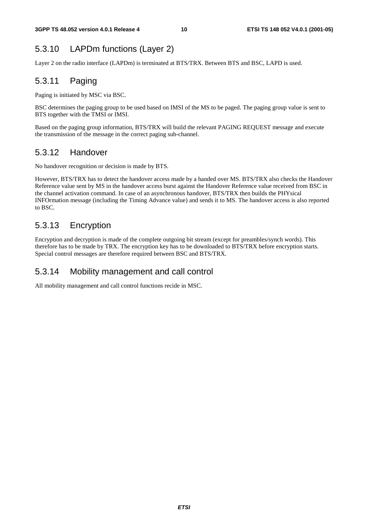# 5.3.10 LAPDm functions (Layer 2)

Layer 2 on the radio interface (LAPDm) is terminated at BTS/TRX. Between BTS and BSC, LAPD is used.

# 5.3.11 Paging

Paging is initiated by MSC via BSC.

BSC determines the paging group to be used based on IMSI of the MS to be paged. The paging group value is sent to BTS together with the TMSI or IMSI.

Based on the paging group information, BTS/TRX will build the relevant PAGING REQUEST message and execute the transmission of the message in the correct paging sub-channel.

### 5.3.12 Handover

No handover recognition or decision is made by BTS.

However, BTS/TRX has to detect the handover access made by a handed over MS. BTS/TRX also checks the Handover Reference value sent by MS in the handover access burst against the Handover Reference value received from BSC in the channel activation command. In case of an asynchronous handover, BTS/TRX then builds the PHYsical INFOrmation message (including the Timing Advance value) and sends it to MS. The handover access is also reported to BSC.

### 5.3.13 Encryption

Encryption and decryption is made of the complete outgoing bit stream (except for preambles/synch words). This therefore has to be made by TRX. The encryption key has to be downloaded to BTS/TRX before encryption starts. Special control messages are therefore required between BSC and BTS/TRX.

### 5.3.14 Mobility management and call control

All mobility management and call control functions recide in MSC.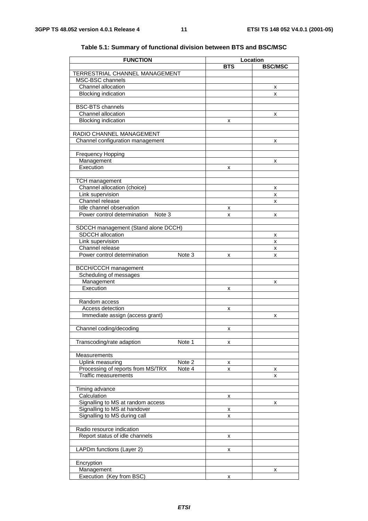| <b>FUNCTION</b>                             | Location   |                |  |
|---------------------------------------------|------------|----------------|--|
|                                             | <b>BTS</b> | <b>BSC/MSC</b> |  |
| TERRESTRIAL CHANNEL MANAGEMENT              |            |                |  |
| MSC-BSC channels                            |            |                |  |
| Channel allocation                          |            | x              |  |
| <b>Blocking indication</b>                  |            | x              |  |
| <b>BSC-BTS</b> channels                     |            |                |  |
| Channel allocation                          |            | x              |  |
| <b>Blocking indication</b>                  | x          |                |  |
|                                             |            |                |  |
| RADIO CHANNEL MANAGEMENT                    |            |                |  |
| Channel configuration management            |            | x              |  |
|                                             |            |                |  |
| <b>Frequency Hopping</b>                    |            |                |  |
| Management<br>Execution                     |            | x              |  |
|                                             | x          |                |  |
| <b>TCH</b> management                       |            |                |  |
| Channel allocation (choice)                 |            | х              |  |
| Link supervision                            |            | x              |  |
| Channel release                             |            | X              |  |
| Idle channel observation                    | х          |                |  |
| Power control determination<br>Note 3       | x          | x              |  |
|                                             |            |                |  |
| SDCCH management (Stand alone DCCH)         |            |                |  |
| <b>SDCCH</b> allocation<br>Link supervision |            | х              |  |
| Channel release                             |            | X<br>x         |  |
| Power control determination<br>Note 3       | x          | x              |  |
|                                             |            |                |  |
| <b>BCCH/CCCH</b> management                 |            |                |  |
| Scheduling of messages                      |            |                |  |
| Management                                  |            | x              |  |
| Execution                                   | x          |                |  |
|                                             |            |                |  |
| Random access<br>Access detection           |            |                |  |
| Immediate assign (access grant)             | x          |                |  |
|                                             |            | x              |  |
| Channel coding/decoding                     | x          |                |  |
|                                             |            |                |  |
| Transcoding/rate adaption<br>Note 1         | x          |                |  |
|                                             |            |                |  |
| Measurements                                |            |                |  |
| Note 2<br>Uplink measuring                  | х          |                |  |
| Processing of reports from MS/TRX<br>Note 4 | x          | х              |  |
| <b>Traffic measurements</b>                 |            | x              |  |
| Timing advance                              |            |                |  |
| Calculation                                 | х          |                |  |
| Signalling to MS at random access           |            | x              |  |
| Signalling to MS at handover                | х          |                |  |
| Signalling to MS during call                | x          |                |  |
|                                             |            |                |  |
| Radio resource indication                   |            |                |  |
| Report status of idle channels              | x          |                |  |
|                                             |            |                |  |
| LAPDm functions (Layer 2)                   | x          |                |  |
| Encryption                                  |            |                |  |
| Management                                  |            | х              |  |
| Execution (Key from BSC)                    | x          |                |  |
|                                             |            |                |  |

#### **Table 5.1: Summary of functional division between BTS and BSC/MSC**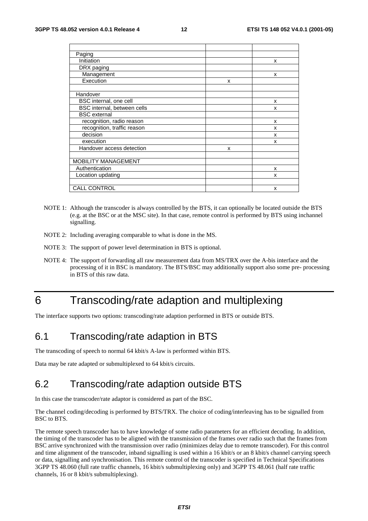| Paging                      |   |   |
|-----------------------------|---|---|
| <b>Initiation</b>           |   | x |
| DRX paging                  |   |   |
| Management                  |   | x |
| Execution                   | x |   |
|                             |   |   |
| Handover                    |   |   |
| BSC internal, one cell      |   | x |
| BSC internal, between cells |   | x |
| <b>BSC</b> external         |   |   |
| recognition, radio reason   |   | x |
| recognition, traffic reason |   | x |
| decision                    |   | x |
| execution                   |   | x |
| Handover access detection   | x |   |
|                             |   |   |
| <b>MOBILITY MANAGEMENT</b>  |   |   |
| Authentication              |   | x |
| Location updating           |   | x |
|                             |   |   |
| <b>CALL CONTROL</b>         |   | x |

- NOTE 1: Although the transcoder is always controlled by the BTS, it can optionally be located outside the BTS (e.g. at the BSC or at the MSC site). In that case, remote control is performed by BTS using inchannel signalling.
- NOTE 2: Including averaging comparable to what is done in the MS.
- NOTE 3: The support of power level determination in BTS is optional.
- NOTE 4: The support of forwarding all raw measurement data from MS/TRX over the A-bis interface and the processing of it in BSC is mandatory. The BTS/BSC may additionally support also some pre- processing in BTS of this raw data.

# 6 Transcoding/rate adaption and multiplexing

The interface supports two options: transcoding/rate adaption performed in BTS or outside BTS.

### 6.1 Transcoding/rate adaption in BTS

The transcoding of speech to normal 64 kbit/s A-law is performed within BTS.

Data may be rate adapted or submultiplexed to 64 kbit/s circuits.

# 6.2 Transcoding/rate adaption outside BTS

In this case the transcoder/rate adaptor is considered as part of the BSC.

The channel coding/decoding is performed by BTS/TRX. The choice of coding/interleaving has to be signalled from BSC to BTS.

The remote speech transcoder has to have knowledge of some radio parameters for an efficient decoding. In addition, the timing of the transcoder has to be aligned with the transmission of the frames over radio such that the frames from BSC arrive synchronized with the transmission over radio (minimizes delay due to remote transcoder). For this control and time alignment of the transcoder, inband signalling is used within a 16 kbit/s or an 8 kbit/s channel carrying speech or data, signalling and synchronisation. This remote control of the transcoder is specified in Technical Specifications 3GPP TS 48.060 (full rate traffic channels, 16 kbit/s submultiplexing only) and 3GPP TS 48.061 (half rate traffic channels, 16 or 8 kbit/s submultiplexing).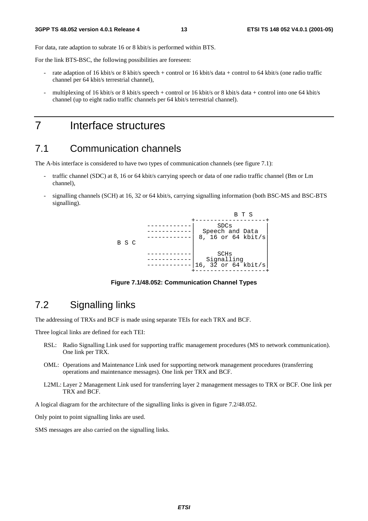For data, rate adaption to subrate 16 or 8 kbit/s is performed within BTS.

For the link BTS-BSC, the following possibilities are foreseen:

- rate adaption of 16 kbit/s or 8 kbit/s speech + control or 16 kbit/s data + control to 64 kbit/s (one radio traffic channel per 64 kbit/s terrestrial channel),
- multiplexing of 16 kbit/s or 8 kbit/s speech + control or 16 kbit/s or 8 kbit/s data + control into one 64 kbit/s channel (up to eight radio traffic channels per 64 kbit/s terrestrial channel).

7 Interface structures

### 7.1 Communication channels

The A-bis interface is considered to have two types of communication channels (see figure 7.1):

- traffic channel (SDC) at 8, 16 or 64 kbit/s carrying speech or data of one radio traffic channel (Bm or Lm channel),
- signalling channels (SCH) at 16, 32 or 64 kbit/s, carrying signalling information (both BSC-MS and BSC-BTS signalling).



**Figure 7.1/48.052: Communication Channel Types** 

### 7.2 Signalling links

The addressing of TRXs and BCF is made using separate TEIs for each TRX and BCF.

Three logical links are defined for each TEI:

- RSL: Radio Signalling Link used for supporting traffic management procedures (MS to network communication). One link per TRX.
- OML: Operations and Maintenance Link used for supporting network management procedures (transferring operations and maintenance messages). One link per TRX and BCF.
- L2ML: Layer 2 Management Link used for transferring layer 2 management messages to TRX or BCF. One link per TRX and BCF.

A logical diagram for the architecture of the signalling links is given in figure 7.2/48.052.

Only point to point signalling links are used.

SMS messages are also carried on the signalling links.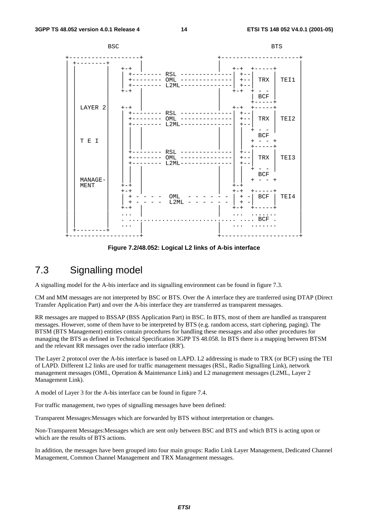

**Figure 7.2/48.052: Logical L2 links of A-bis interface** 

### 7.3 Signalling model

A signalling model for the A-bis interface and its signalling environment can be found in figure 7.3.

CM and MM messages are not interpreted by BSC or BTS. Over the A interface they are tranferred using DTAP (Direct Transfer Application Part) and over the A-bis interface they are transferred as transparent messages.

RR messages are mapped to BSSAP (BSS Application Part) in BSC. In BTS, most of them are handled as transparent messages. However, some of them have to be interpreted by BTS (e.g. random access, start ciphering, paging). The BTSM (BTS Management) entities contain procedures for handling these messages and also other procedures for managing the BTS as defined in Technical Specification 3GPP TS 48.058. In BTS there is a mapping between BTSM and the relevant RR messages over the radio interface (RR').

The Layer 2 protocol over the A-bis interface is based on LAPD. L2 addressing is made to TRX (or BCF) using the TEI of LAPD. Different L2 links are used for traffic management messages (RSL, Radio Signalling Link), network management messages (OML, Operation & Maintenance Link) and L2 management messages (L2ML, Layer 2 Management Link).

A model of Layer 3 for the A-bis interface can be found in figure 7.4.

For traffic management, two types of signalling messages have been defined:

Transparent Messages:Messages which are forwarded by BTS without interpretation or changes.

Non-Transparent Messages:Messages which are sent only between BSC and BTS and which BTS is acting upon or which are the results of BTS actions.

In addition, the messages have been grouped into four main groups: Radio Link Layer Management, Dedicated Channel Management, Common Channel Management and TRX Management messages.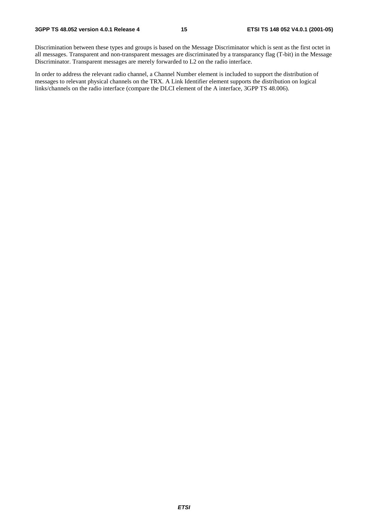Discrimination between these types and groups is based on the Message Discriminator which is sent as the first octet in all messages. Transparent and non-transparent messages are discriminated by a transparancy flag (T-bit) in the Message Discriminator. Transparent messages are merely forwarded to L2 on the radio interface.

In order to address the relevant radio channel, a Channel Number element is included to support the distribution of messages to relevant physical channels on the TRX. A Link Identifier element supports the distribution on logical links/channels on the radio interface (compare the DLCI element of the A interface, 3GPP TS 48.006).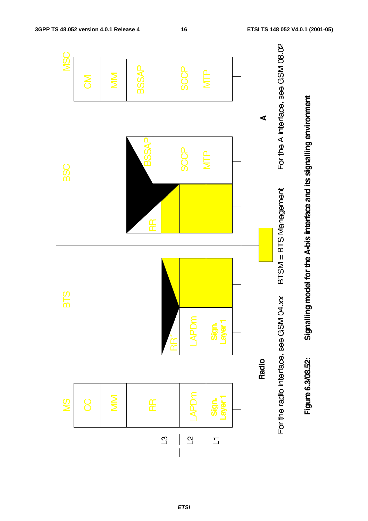

**ETSI**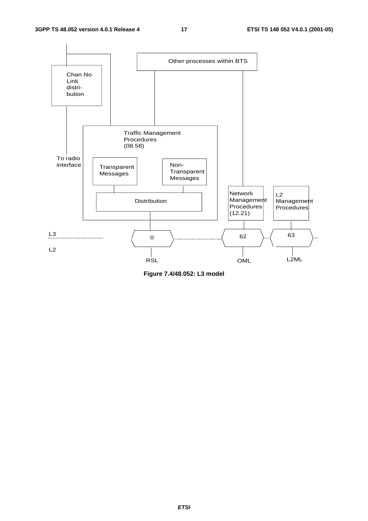

**Figure 7.4/48.052: L3 model**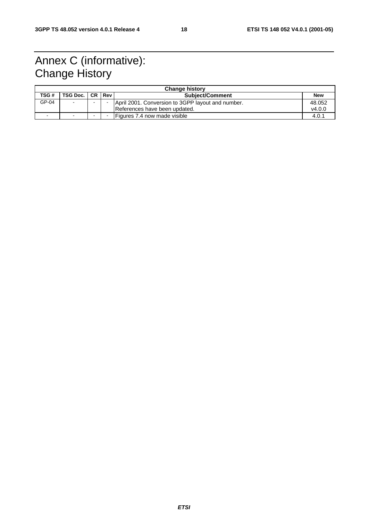# Annex C (informative): Change History

| <b>Change history</b> |               |  |        |                                                   |            |  |  |
|-----------------------|---------------|--|--------|---------------------------------------------------|------------|--|--|
| TSG #                 | TSG Doc.   CR |  | Rev    | <b>Subject/Comment</b>                            | <b>New</b> |  |  |
| GP-04                 |               |  |        | April 2001. Conversion to 3GPP layout and number. | 48.052     |  |  |
|                       |               |  |        | References have been updated.                     | V4.0.0     |  |  |
|                       |               |  | $\sim$ | Figures 7.4 now made visible                      | 4.0.1      |  |  |